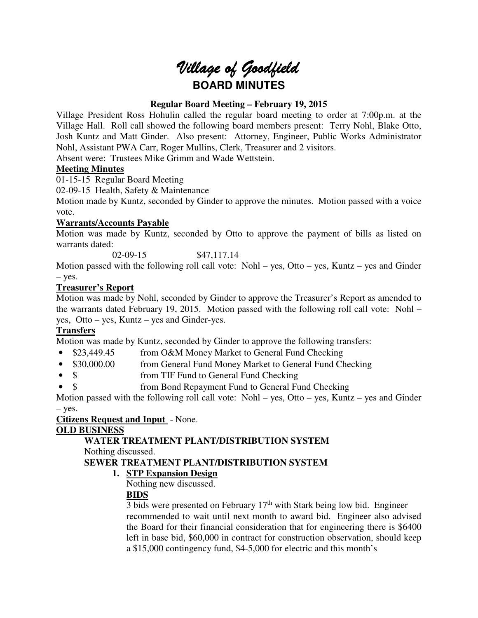# Village of Goodfield **BOARD MINUTES**

# **Regular Board Meeting – February 19, 2015**

Village President Ross Hohulin called the regular board meeting to order at 7:00p.m. at the Village Hall. Roll call showed the following board members present: Terry Nohl, Blake Otto, Josh Kuntz and Matt Ginder. Also present: Attorney, Engineer, Public Works Administrator Nohl, Assistant PWA Carr, Roger Mullins, Clerk, Treasurer and 2 visitors.

Absent were: Trustees Mike Grimm and Wade Wettstein.

# **Meeting Minutes**

01-15-15 Regular Board Meeting

02-09-15 Health, Safety & Maintenance

Motion made by Kuntz, seconded by Ginder to approve the minutes. Motion passed with a voice vote.

# **Warrants/Accounts Payable**

Motion was made by Kuntz, seconded by Otto to approve the payment of bills as listed on warrants dated:

02-09-15 \$47,117.14

Motion passed with the following roll call vote: Nohl – yes, Otto – yes, Kuntz – yes and Ginder – yes.

# **Treasurer's Report**

Motion was made by Nohl, seconded by Ginder to approve the Treasurer's Report as amended to the warrants dated February 19, 2015. Motion passed with the following roll call vote: Nohl – yes, Otto – yes, Kuntz – yes and Ginder-yes.

# **Transfers**

Motion was made by Kuntz, seconded by Ginder to approve the following transfers:

- \$23,449.45 from O&M Money Market to General Fund Checking
- \$30,000.00 from General Fund Money Market to General Fund Checking
- \$ from TIF Fund to General Fund Checking
- \$ from Bond Repayment Fund to General Fund Checking

Motion passed with the following roll call vote: Nohl – yes, Otto – yes, Kuntz – yes and Ginder – yes.

# **Citizens Request and Input** - None.

# **OLD BUSINESS**

# **WATER TREATMENT PLANT/DISTRIBUTION SYSTEM**

Nothing discussed.

# **SEWER TREATMENT PLANT/DISTRIBUTION SYSTEM**

**1. STP Expansion Design** 

Nothing new discussed.

# **BIDS**

3 bids were presented on February  $17<sup>th</sup>$  with Stark being low bid. Engineer recommended to wait until next month to award bid. Engineer also advised the Board for their financial consideration that for engineering there is \$6400 left in base bid, \$60,000 in contract for construction observation, should keep a \$15,000 contingency fund, \$4-5,000 for electric and this month's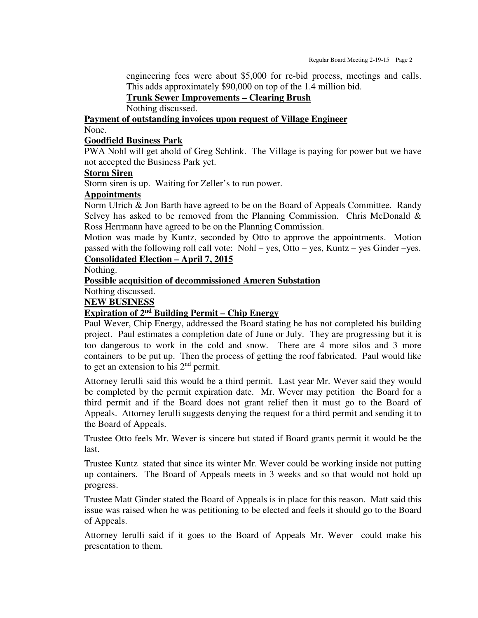engineering fees were about \$5,000 for re-bid process, meetings and calls. This adds approximately \$90,000 on top of the 1.4 million bid.

**Trunk Sewer Improvements – Clearing Brush** 

Nothing discussed.

**Payment of outstanding invoices upon request of Village Engineer** 

None.

#### **Goodfield Business Park**

PWA Nohl will get ahold of Greg Schlink. The Village is paying for power but we have not accepted the Business Park yet.

#### **Storm Siren**

Storm siren is up. Waiting for Zeller's to run power.

#### **Appointments**

Norm Ulrich & Jon Barth have agreed to be on the Board of Appeals Committee. Randy Selvey has asked to be removed from the Planning Commission. Chris McDonald  $\&$ Ross Herrmann have agreed to be on the Planning Commission.

Motion was made by Kuntz, seconded by Otto to approve the appointments. Motion passed with the following roll call vote: Nohl – yes, Otto – yes, Kuntz – yes Ginder –yes. **Consolidated Election – April 7, 2015** 

Nothing.

**Possible acquisition of decommissioned Ameren Substation** 

Nothing discussed.

**NEW BUSINESS** 

#### **Expiration of 2nd Building Permit – Chip Energy**

Paul Wever, Chip Energy, addressed the Board stating he has not completed his building project. Paul estimates a completion date of June or July. They are progressing but it is too dangerous to work in the cold and snow. There are 4 more silos and 3 more containers to be put up. Then the process of getting the roof fabricated. Paul would like to get an extension to his 2nd permit.

Attorney Ierulli said this would be a third permit. Last year Mr. Wever said they would be completed by the permit expiration date. Mr. Wever may petition the Board for a third permit and if the Board does not grant relief then it must go to the Board of Appeals. Attorney Ierulli suggests denying the request for a third permit and sending it to the Board of Appeals.

Trustee Otto feels Mr. Wever is sincere but stated if Board grants permit it would be the last.

Trustee Kuntz stated that since its winter Mr. Wever could be working inside not putting up containers. The Board of Appeals meets in 3 weeks and so that would not hold up progress.

Trustee Matt Ginder stated the Board of Appeals is in place for this reason. Matt said this issue was raised when he was petitioning to be elected and feels it should go to the Board of Appeals.

Attorney Ierulli said if it goes to the Board of Appeals Mr. Wever could make his presentation to them.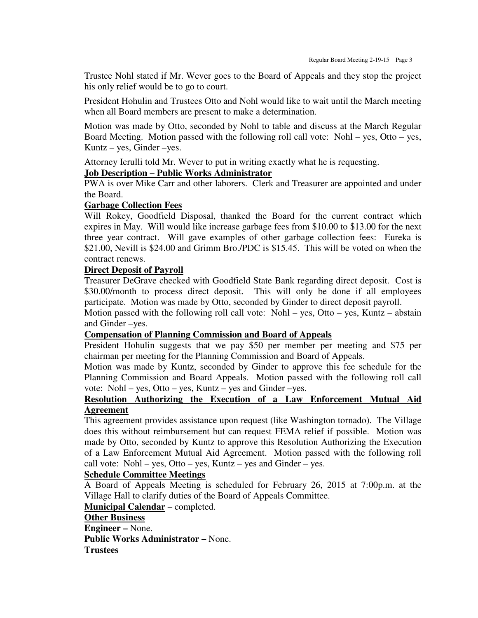Trustee Nohl stated if Mr. Wever goes to the Board of Appeals and they stop the project his only relief would be to go to court.

President Hohulin and Trustees Otto and Nohl would like to wait until the March meeting when all Board members are present to make a determination.

Motion was made by Otto, seconded by Nohl to table and discuss at the March Regular Board Meeting. Motion passed with the following roll call vote: Nohl – yes, Otto – yes, Kuntz – yes, Ginder –yes.

Attorney Ierulli told Mr. Wever to put in writing exactly what he is requesting.

#### **Job Description – Public Works Administrator**

PWA is over Mike Carr and other laborers. Clerk and Treasurer are appointed and under the Board.

#### **Garbage Collection Fees**

Will Rokey, Goodfield Disposal, thanked the Board for the current contract which expires in May. Will would like increase garbage fees from \$10.00 to \$13.00 for the next three year contract. Will gave examples of other garbage collection fees: Eureka is \$21.00, Nevill is \$24.00 and Grimm Bro./PDC is \$15.45. This will be voted on when the contract renews.

#### **Direct Deposit of Payroll**

Treasurer DeGrave checked with Goodfield State Bank regarding direct deposit. Cost is \$30.00/month to process direct deposit. This will only be done if all employees participate. Motion was made by Otto, seconded by Ginder to direct deposit payroll.

Motion passed with the following roll call vote: Nohl – yes, Otto – yes, Kuntz – abstain and Ginder –yes.

#### **Compensation of Planning Commission and Board of Appeals**

President Hohulin suggests that we pay \$50 per member per meeting and \$75 per chairman per meeting for the Planning Commission and Board of Appeals.

Motion was made by Kuntz, seconded by Ginder to approve this fee schedule for the Planning Commission and Board Appeals. Motion passed with the following roll call vote: Nohl – yes, Otto – yes, Kuntz – yes and Ginder –yes.

#### **Resolution Authorizing the Execution of a Law Enforcement Mutual Aid Agreement**

This agreement provides assistance upon request (like Washington tornado). The Village does this without reimbursement but can request FEMA relief if possible. Motion was made by Otto, seconded by Kuntz to approve this Resolution Authorizing the Execution of a Law Enforcement Mutual Aid Agreement. Motion passed with the following roll call vote: Nohl – yes, Otto – yes, Kuntz – yes and Ginder – yes.

#### **Schedule Committee Meetings**

A Board of Appeals Meeting is scheduled for February 26, 2015 at 7:00p.m. at the Village Hall to clarify duties of the Board of Appeals Committee.

**Municipal Calendar** – completed.

#### **Other Business**

**Engineer –** None. **Public Works Administrator –** None. **Trustees**